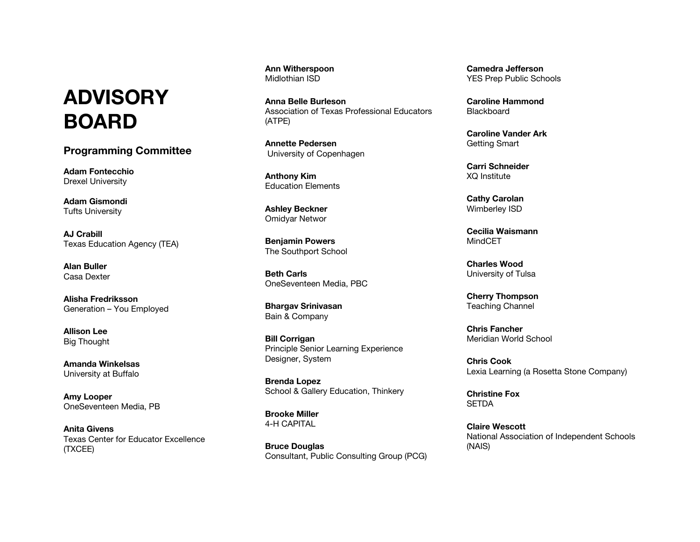## **ADVISORY BOARD**

**Programming Committee**

**Adam Fontecchio** Drexel University

**Adam Gismondi** Tufts University

**AJ Crabill** Texas Education Agency (TEA)

**Alan Buller** Casa Dexter

**Alisha Fredriksson** Generation – You Employed

**Allison Lee** Big Thought

**Amanda Winkelsas** University at Buffalo

**Amy Looper** OneSeventeen Media, PB

**Anita Givens** Texas Center for Educator Excellence (TXCEE)

**Ann Witherspoon** Midlothian ISD

**Anna Belle Burleson** Association of Texas Professional Educators (ATPE)

**Annette Pedersen** University of Copenhagen

**Anthony Kim** Education Elements

**Ashley Beckner** Omidyar Networ

**Benjamin Powers** The Southport School

**Beth Carls** OneSeventeen Media, PBC

**Bhargav Srinivasan** Bain & Company

**Bill Corrigan** Principle Senior Learning Experience Designer, System

**Brenda Lopez** School & Gallery Education, Thinkery

**Brooke Miller** 4-H CAPITAL

**Bruce Douglas** Consultant, Public Consulting Group (PCG) **Camedra Jefferson** YES Prep Public Schools

**Caroline Hammond Blackboard** 

**Caroline Vander Ark** Getting Smart

**Carri Schneider** XQ Institute

**Cathy Carolan** Wimberley ISD

**Cecilia Waismann MindCFT** 

**Charles Wood** University of Tulsa

**Cherry Thompson** Teaching Channel

**Chris Fancher** Meridian World School

**Chris Cook** Lexia Learning (a Rosetta Stone Company)

**Christine Fox** SETDA

**Claire Wescott** National Association of Independent Schools (NAIS)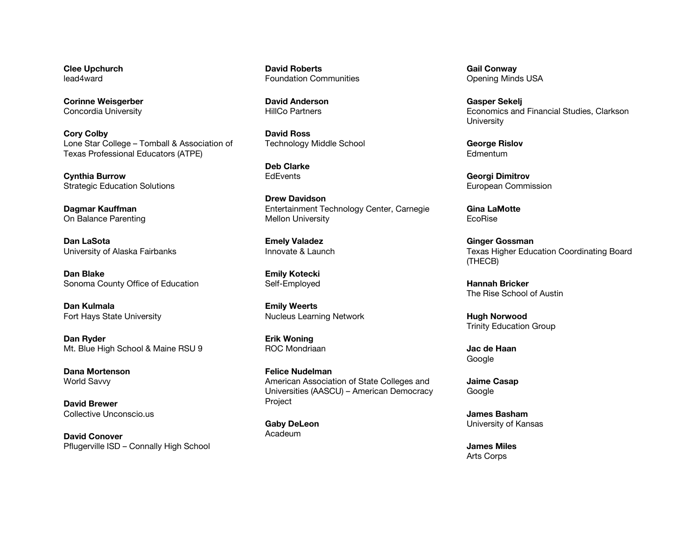**Clee Upchurch** lead4ward

**Corinne Weisgerber** Concordia University

**Cory Colby** Lone Star College – Tomball & Association of Texas Professional Educators (ATPE)

**Cynthia Burrow** Strategic Education Solutions

**Dagmar Kauffman** On Balance Parenting

**Dan LaSota** University of Alaska Fairbanks

**Dan Blake** Sonoma County Office of Education

**Dan Kulmala** Fort Hays State University

**Dan Ryder** Mt. Blue High School & Maine RSU 9

**Dana Mortenson** World Savvy

**David Brewer** Collective Unconscio.us

**David Conover** Pflugerville ISD – Connally High School

**David Roberts** Foundation Communities

**David Anderson** HillCo Partners

**David Ross** Technology Middle School

**Deb Clarke EdEvents** 

**Drew Davidson** Entertainment Technology Center, Carnegie Mellon University

**Emely Valadez** Innovate & Launch

**Emily Kotecki** Self-Employed

**Emily Weerts** Nucleus Learning Network

**Erik Woning** ROC Mondriaan

**Felice Nudelman** American Association of State Colleges and Universities (AASCU) – American Democracy Project

**Gaby DeLeon** Acadeum

**Gail Conway** Opening Minds USA

**Gasper Sekelj** Economics and Financial Studies, Clarkson **University** 

**George Rislov** Edmentum

**Georgi Dimitrov** European Commission

**Gina LaMotte** EcoRise

**Ginger Gossman** Texas Higher Education Coordinating Board (THECB)

**Hannah Bricker** The Rise School of Austin

**Hugh Norwood** Trinity Education Group

**Jac de Haan** Google

**Jaime Casap** Google

**James Basham** University of Kansas

**James Miles** Arts Corps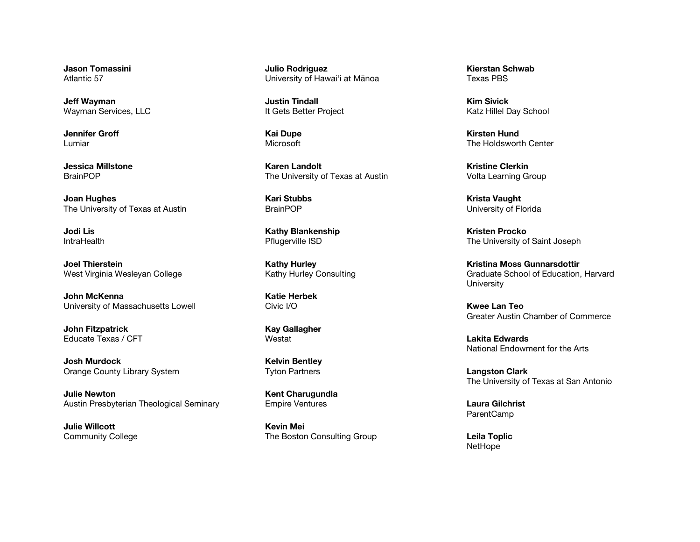**Jason Tomassini** Atlantic 57

**Jeff Wayman** Wayman Services, LLC

**Jennifer Groff** Lumiar

**Jessica Millstone** BrainPOP

**Joan Hughes** The University of Texas at Austin

**Jodi Lis IntraHealth** 

**Joel Thierstein** West Virginia Wesleyan College

**John McKenna** University of Massachusetts Lowell

**John Fitzpatrick** Educate Texas / CFT

**Josh Murdock** Orange County Library System

**Julie Newton** Austin Presbyterian Theological Seminary

**Julie Willcott** Community College **Julio Rodriguez** University of Hawai'i at Mānoa

**Justin Tindall** It Gets Better Project

**Kai Dupe** Microsoft

**Karen Landolt** The University of Texas at Austin

**Kari Stubbs** BrainPOP

**Kathy Blankenship** Pflugerville ISD

**Kathy Hurley** Kathy Hurley Consulting

**Katie Herbek** Civic I/O

**Kay Gallagher** Westat

**Kelvin Bentley** Tyton Partners

**Kent Charugundla** Empire Ventures

**Kevin Mei** The Boston Consulting Group

**Kierstan Schwab** Texas PBS

**Kim Sivick** Katz Hillel Day School

**Kirsten Hund** The Holdsworth Center

**Kristine Clerkin** Volta Learning Group

**Krista Vaught** University of Florida

**Kristen Procko** The University of Saint Joseph

**Kristina Moss Gunnarsdottir** Graduate School of Education, Harvard **University** 

**Kwee Lan Teo** Greater Austin Chamber of Commerce

**Lakita Edwards** National Endowment for the Arts

**Langston Clark** The University of Texas at San Antonio

**Laura Gilchrist** ParentCamp

**Leila Toplic NetHope**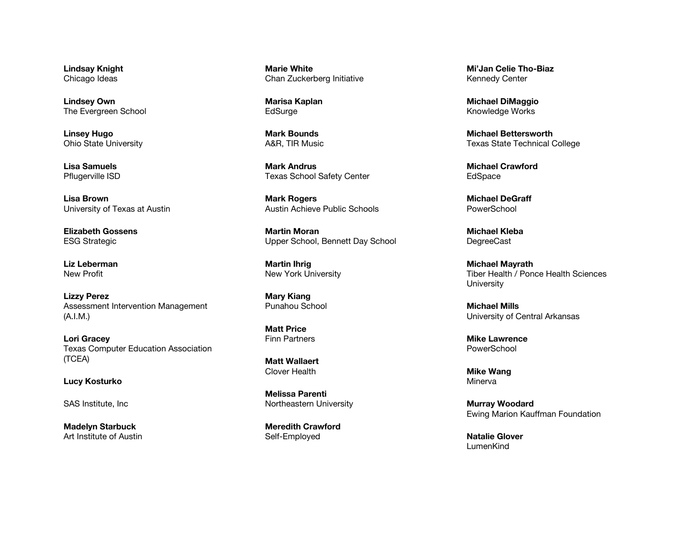**Lindsay Knight** Chicago Ideas

**Lindsey Own** The Evergreen School

**Linsey Hugo** Ohio State University

**Lisa Samuels** Pflugerville ISD

**Lisa Brown** University of Texas at Austin

**Elizabeth Gossens** ESG Strategic

**Liz Leberman** New Profit

**Lizzy Perez** Assessment Intervention Management (A.I.M.)

**Lori Gracey** Texas Computer Education Association (TCEA)

**Lucy Kosturko**

SAS Institute, Inc

**Madelyn Starbuck** Art Institute of Austin

**Marie White** Chan Zuckerberg Initiative

**Marisa Kaplan EdSurge** 

**Mark Bounds** A&R, TIR Music

**Mark Andrus** Texas School Safety Center

**Mark Rogers** Austin Achieve Public Schools

**Martin Moran** Upper School, Bennett Day School

**Martin Ihrig** New York University

**Mary Kiang** Punahou School

**Matt Price** Finn Partners

**Matt Wallaert** Clover Health

**Melissa Parenti** Northeastern University

**Meredith Crawford** Self-Employed

**Mi'Jan Celie Tho-Biaz** Kennedy Center

**Michael DiMaggio** Knowledge Works

**Michael Bettersworth** Texas State Technical College

**Michael Crawford** EdSpace

**Michael DeGraff PowerSchool** 

**Michael Kleba DegreeCast** 

**Michael Mayrath** Tiber Health / Ponce Health Sciences **University** 

**Michael Mills** University of Central Arkansas

**Mike Lawrence** PowerSchool

**Mike Wang** Minerva

**Murray Woodard** Ewing Marion Kauffman Foundation

**Natalie Glover** LumenKind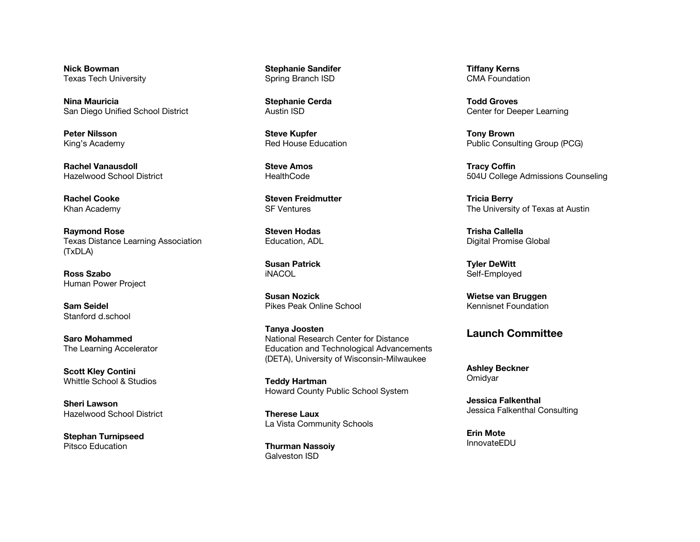**Nick Bowman** Texas Tech University

**Nina Mauricia** San Diego Unified School District

**Peter Nilsson** King's Academy

**Rachel Vanausdoll** Hazelwood School District

**Rachel Cooke** Khan Academy

**Raymond Rose** Texas Distance Learning Association (TxDLA)

**Ross Szabo** Human Power Project

**Sam Seidel** Stanford d.school

**Saro Mohammed** The Learning Accelerator

**Scott Kley Contini** Whittle School & Studios

**Sheri Lawson** Hazelwood School District

**Stephan Turnipseed** Pitsco Education

**Stephanie Sandifer** Spring Branch ISD

**Stephanie Cerda** Austin ISD

**Steve Kupfer** Red House Education

**Steve Amos HealthCode** 

**Steven Freidmutter** SF Ventures

**Steven Hodas** Education, ADL

**Susan Patrick** iNACOL

**Susan Nozick** Pikes Peak Online School

**Tanya Joosten** National Research Center for Distance Education and Technological Advancements (DETA), University of Wisconsin-Milwaukee

**Teddy Hartman** Howard County Public School System

**Therese Laux** La Vista Community Schools

**Thurman Nassoiy** Galveston ISD

**Tiffany Kerns** CMA Foundation

**Todd Groves** Center for Deeper Learning

**Tony Brown** Public Consulting Group (PCG)

**Tracy Coffin** 504U College Admissions Counseling

**Tricia Berry** The University of Texas at Austin

**Trisha Callella** Digital Promise Global

**Tyler DeWitt** Self-Employed

**Wietse van Bruggen** Kennisnet Foundation

## **Launch Committee**

**Ashley Beckner Omidyar** 

**Jessica Falkenthal** Jessica Falkenthal Consulting

**Erin Mote** InnovateEDU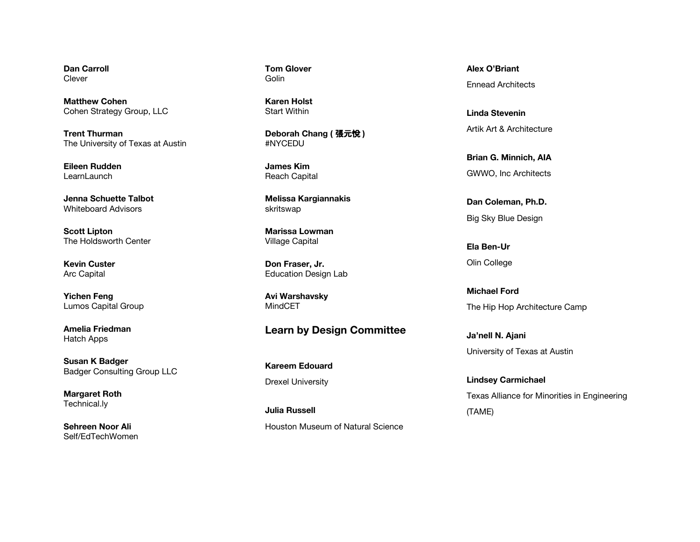**Dan Carroll** Clever

**Matthew Cohen** Cohen Strategy Group, LLC

**Trent Thurman** The University of Texas at Austin

**Eileen Rudden LearnLaunch** 

**Jenna Schuette Talbot** Whiteboard Advisors

**Scott Lipton** The Holdsworth Center

**Kevin Custer** Arc Capital

**Yichen Feng** Lumos Capital Group

**Amelia Friedman** Hatch Apps

**Susan K Badger** Badger Consulting Group LLC

**Margaret Roth** Technical.ly

**Sehreen Noor Ali** Self/EdTechWomen **Tom Glover** Golin

**Karen Holst** Start Within

**Deborah Chang (** 張元悅 **)** #NYCEDU

**James Kim** Reach Capital

**Melissa Kargiannakis** skritswap

**Marissa Lowman** Village Capital

**Don Fraser, Jr.** Education Design Lab

**Avi Warshavsky** MindCET

## **Learn by Design Committee**

**Kareem Edouard** Drexel University

**Julia Russell** Houston Museum of Natural Science **Alex O'Briant** Ennead Architects

**Linda Stevenin** Artik Art & Architecture

**Brian G. Minnich, AIA** GWWO, Inc Architects

**Dan Coleman, Ph.D.** Big Sky Blue Design

**Ela Ben-Ur** Olin College

**Michael Ford** The Hip Hop Architecture Camp

**Ja'nell N. Ajani** University of Texas at Austin

**Lindsey Carmichael** Texas Alliance for Minorities in Engineering (TAME)